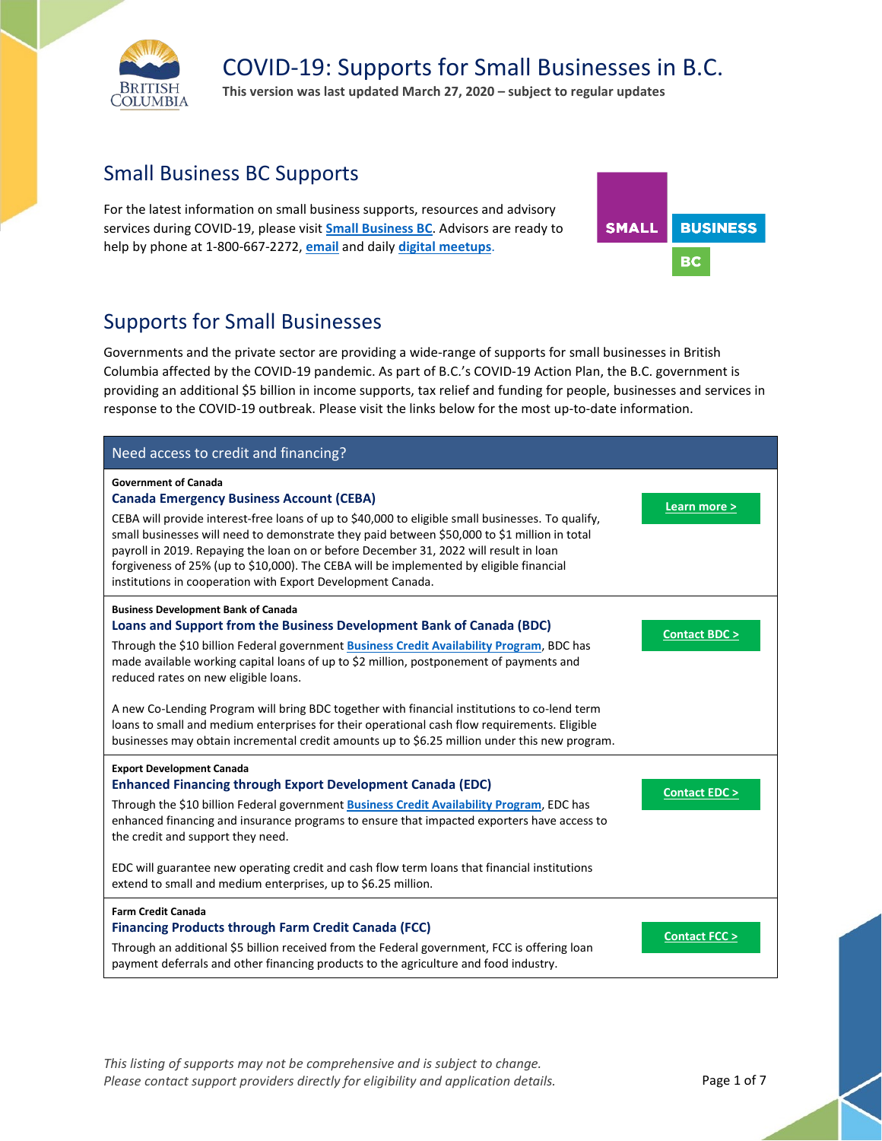

**This version was last updated March 27, 2020 – subject to regular updates**

### Small Business BC Supports

For the latest information on small business supports, resources and advisory services during COVID-19, please visit **[Small Business BC](https://smallbusinessbc.ca/article/resources-for-small-businesses-affected-by-coronavirus-covid-19/)**. Advisors are ready to help by phone at 1-800-667-2272, **[email](mailto:askus@smallbusinessbc.ca)** and daily **[digital meetups](https://smallbusinessbc.ca/article/join-small-business-bcs-digital-meetups/)**.



### Supports for Small Businesses

Governments and the private sector are providing a wide-range of supports for small businesses in British Columbia affected by the COVID-19 pandemic. As part of B.C.'s COVID-19 Action Plan, the B.C. government is providing an additional \$5 billion in income supports, tax relief and funding for people, businesses and services in response to the COVID-19 outbreak. Please visit the links below for the most up-to-date information.

| Need access to credit and financing?                                                                                                                                                                                                                                                                                                                                                                                                                                                                                                                                                                                                                |                         |
|-----------------------------------------------------------------------------------------------------------------------------------------------------------------------------------------------------------------------------------------------------------------------------------------------------------------------------------------------------------------------------------------------------------------------------------------------------------------------------------------------------------------------------------------------------------------------------------------------------------------------------------------------------|-------------------------|
| <b>Government of Canada</b><br><b>Canada Emergency Business Account (CEBA)</b><br>CEBA will provide interest-free loans of up to \$40,000 to eligible small businesses. To qualify,<br>small businesses will need to demonstrate they paid between \$50,000 to \$1 million in total<br>payroll in 2019. Repaying the loan on or before December 31, 2022 will result in loan<br>forgiveness of 25% (up to \$10,000). The CEBA will be implemented by eligible financial<br>institutions in cooperation with Export Development Canada.                                                                                                              | Learn more >            |
| <b>Business Development Bank of Canada</b><br>Loans and Support from the Business Development Bank of Canada (BDC)<br>Through the \$10 billion Federal government Business Credit Availability Program, BDC has<br>made available working capital loans of up to \$2 million, postponement of payments and<br>reduced rates on new eligible loans.<br>A new Co-Lending Program will bring BDC together with financial institutions to co-lend term<br>loans to small and medium enterprises for their operational cash flow requirements. Eligible<br>businesses may obtain incremental credit amounts up to \$6.25 million under this new program. | <b>Contact BDC &gt;</b> |
| <b>Export Development Canada</b><br><b>Enhanced Financing through Export Development Canada (EDC)</b><br>Through the \$10 billion Federal government <b>Business Credit Availability Program</b> , EDC has<br>enhanced financing and insurance programs to ensure that impacted exporters have access to<br>the credit and support they need.<br>EDC will guarantee new operating credit and cash flow term loans that financial institutions<br>extend to small and medium enterprises, up to \$6.25 million.                                                                                                                                      | <b>Contact EDC &gt;</b> |
| <b>Farm Credit Canada</b><br><b>Financing Products through Farm Credit Canada (FCC)</b><br>Through an additional \$5 billion received from the Federal government, FCC is offering loan<br>payment deferrals and other financing products to the agriculture and food industry.                                                                                                                                                                                                                                                                                                                                                                     | <b>Contact FCC &gt;</b> |

*This listing of supports may not be comprehensive and is subject to change.*  Please contact support providers directly for eligibility and application details. Page 1 of 7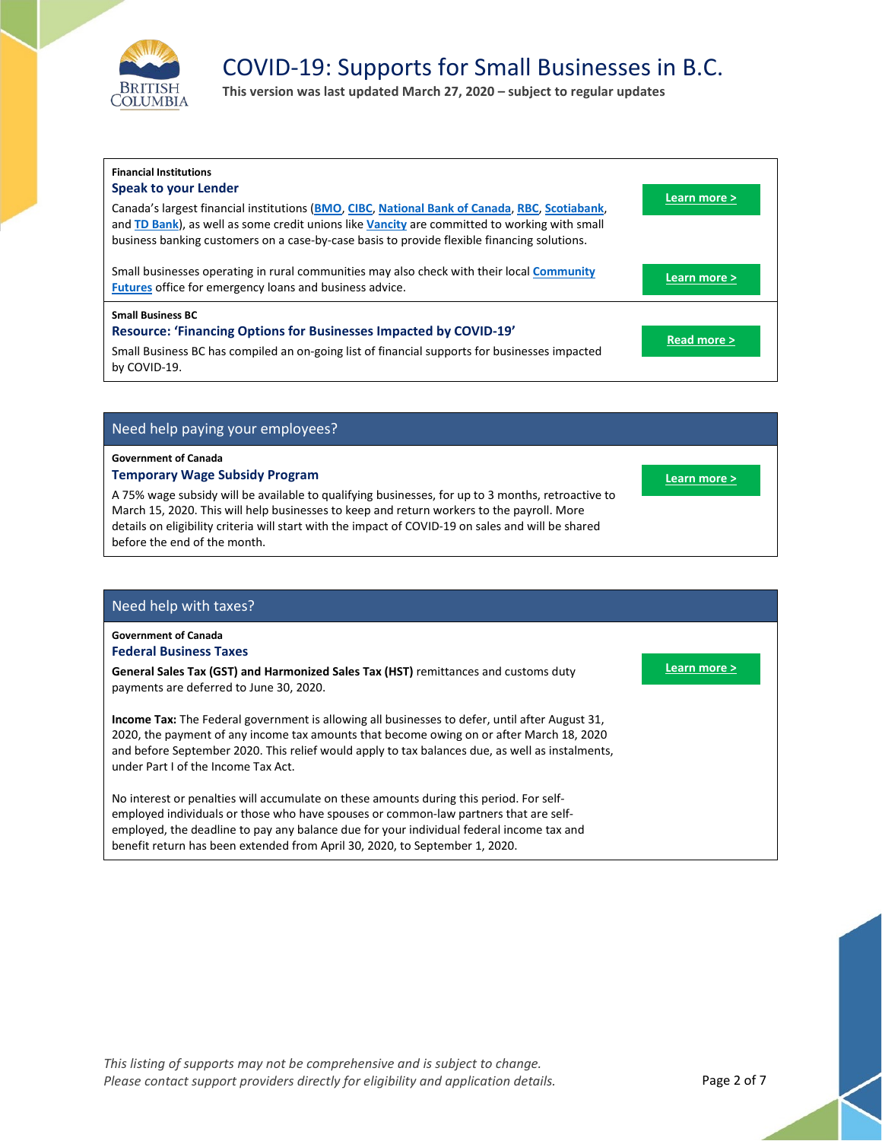

**This version was last updated March 27, 2020 – subject to regular updates**

| <b>Financial Institutions</b><br><b>Speak to your Lender</b><br>Canada's largest financial institutions (BMO, CIBC, National Bank of Canada, RBC, Scotiabank,<br>and TD Bank), as well as some credit unions like Vancity are committed to working with small<br>business banking customers on a case-by-case basis to provide flexible financing solutions. | Learn more > |
|--------------------------------------------------------------------------------------------------------------------------------------------------------------------------------------------------------------------------------------------------------------------------------------------------------------------------------------------------------------|--------------|
| Small businesses operating in rural communities may also check with their local Community<br><b>Futures</b> office for emergency loans and business advice.                                                                                                                                                                                                  | Learn more > |
| <b>Small Business BC</b><br><b>Resource: 'Financing Options for Businesses Impacted by COVID-19'</b><br>Small Business BC has compiled an on-going list of financial supports for businesses impacted<br>by COVID-19.                                                                                                                                        | Read more >  |

### Need help paying your employees?

#### **Government of Canada**

### **Temporary Wage Subsidy Program**

A 75% wage subsidy will be available to qualifying businesses, for up to 3 months, retroactive to March 15, 2020. This will help businesses to keep and return workers to the payroll. More details on eligibility criteria will start with the impact of COVID-19 on sales and will be shared before the end of the month.

### Need help with taxes?

#### **Government of Canada Federal Business Taxes**

**General Sales Tax (GST) and Harmonized Sales Tax (HST)** remittances and customs duty payments are deferred to June 30, 2020.

**Income Tax:** The Federal government is allowing all businesses to defer, until after August 31, 2020, the payment of any income tax amounts that become owing on or after March 18, 2020 and before September 2020. This relief would apply to tax balances due, as well as instalments, under Part I of the Income Tax Act.

No interest or penalties will accumulate on these amounts during this period. For selfemployed individuals or those who have spouses or common-law partners that are selfemployed, the deadline to pay any balance due for your individual federal income tax and benefit return has been extended from April 30, 2020, to September 1, 2020.



**[Learn more >](https://www.canada.ca/en/department-finance/news/2020/03/canadas-covid-19-economic-response-plan-support-for-canadians-and-businesses.html)**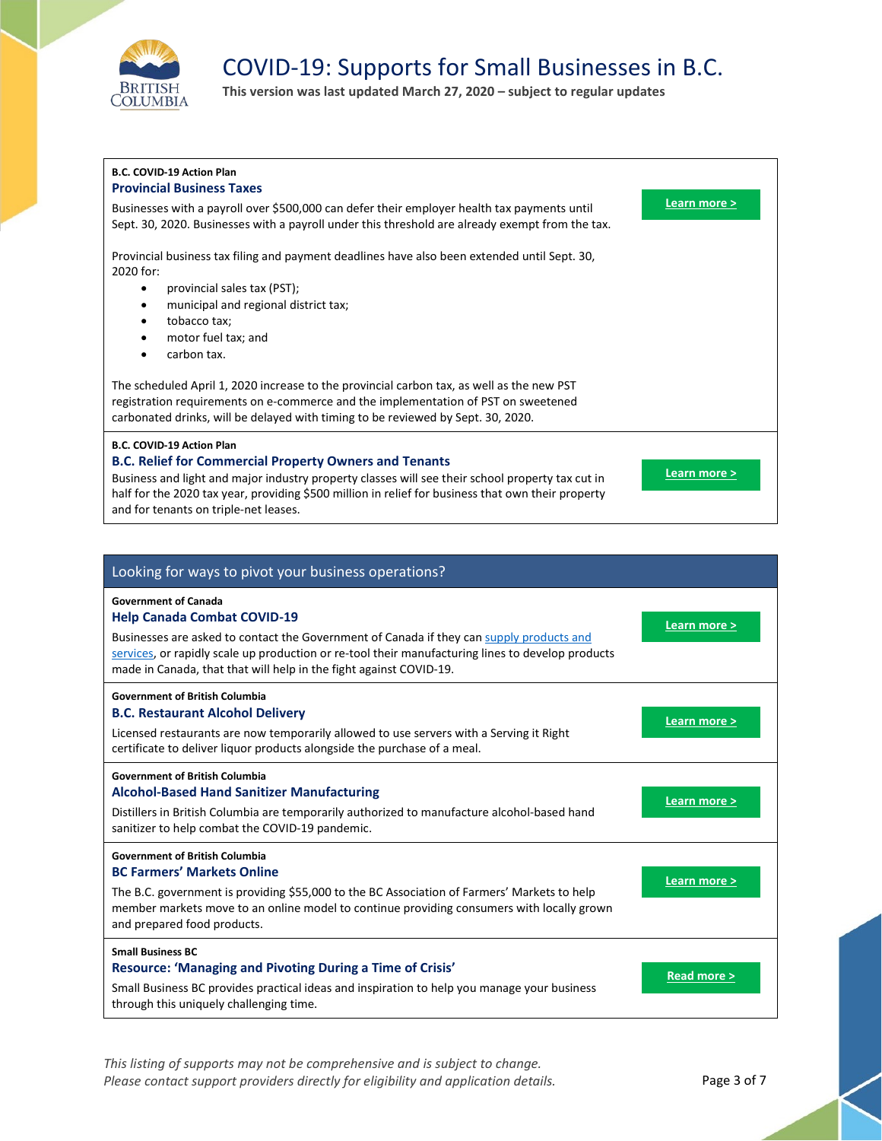

**This version was last updated March 27, 2020 – subject to regular updates**

| <b>B.C. COVID-19 Action Plan</b><br><b>Provincial Business Taxes</b>                                                                                                                                                                                                                                                                                 |              |
|------------------------------------------------------------------------------------------------------------------------------------------------------------------------------------------------------------------------------------------------------------------------------------------------------------------------------------------------------|--------------|
| Businesses with a payroll over \$500,000 can defer their employer health tax payments until<br>Sept. 30, 2020. Businesses with a payroll under this threshold are already exempt from the tax.                                                                                                                                                       | Learn more > |
| Provincial business tax filing and payment deadlines have also been extended until Sept. 30,<br>2020 for:<br>provincial sales tax (PST);<br>municipal and regional district tax;<br>$\bullet$<br>tobacco tax;<br>٠<br>motor fuel tax; and<br>carbon tax.                                                                                             |              |
| The scheduled April 1, 2020 increase to the provincial carbon tax, as well as the new PST<br>registration requirements on e-commerce and the implementation of PST on sweetened<br>carbonated drinks, will be delayed with timing to be reviewed by Sept. 30, 2020.                                                                                  |              |
| <b>B.C. COVID-19 Action Plan</b><br><b>B.C. Relief for Commercial Property Owners and Tenants</b><br>Business and light and major industry property classes will see their school property tax cut in<br>half for the 2020 tax year, providing \$500 million in relief for business that own their property<br>and for tenants on triple-net leases. | Learn more > |

| Looking for ways to pivot your business operations?                                                                                                                                                                                                                                                                                      |              |
|------------------------------------------------------------------------------------------------------------------------------------------------------------------------------------------------------------------------------------------------------------------------------------------------------------------------------------------|--------------|
| <b>Government of Canada</b><br><b>Help Canada Combat COVID-19</b><br>Businesses are asked to contact the Government of Canada if they can supply products and<br>services, or rapidly scale up production or re-tool their manufacturing lines to develop products<br>made in Canada, that that will help in the fight against COVID-19. | Learn more > |
| <b>Government of British Columbia</b><br><b>B.C. Restaurant Alcohol Delivery</b><br>Licensed restaurants are now temporarily allowed to use servers with a Serving it Right<br>certificate to deliver liquor products alongside the purchase of a meal.                                                                                  | Learn more > |
| <b>Government of British Columbia</b><br><b>Alcohol-Based Hand Sanitizer Manufacturing</b><br>Distillers in British Columbia are temporarily authorized to manufacture alcohol-based hand<br>sanitizer to help combat the COVID-19 pandemic.                                                                                             | Learn more > |
| <b>Government of British Columbia</b><br><b>BC Farmers' Markets Online</b><br>The B.C. government is providing \$55,000 to the BC Association of Farmers' Markets to help<br>member markets move to an online model to continue providing consumers with locally grown<br>and prepared food products.                                    | Learn more > |
| <b>Small Business BC</b><br><b>Resource: 'Managing and Pivoting During a Time of Crisis'</b><br>Small Business BC provides practical ideas and inspiration to help you manage your business<br>through this uniquely challenging time.                                                                                                   | Read more >  |

*This listing of supports may not be comprehensive and is subject to change.*  Please contact support providers directly for eligibility and application details. Page 3 of 7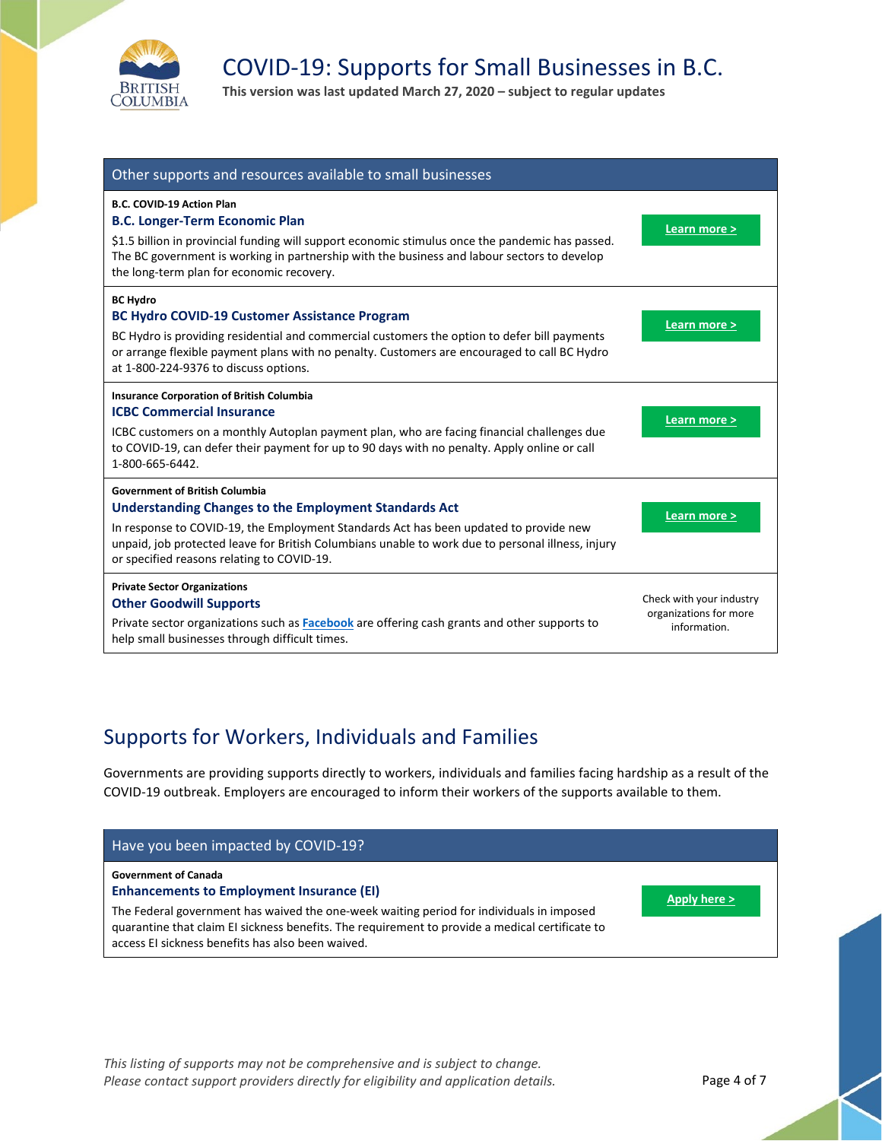

**This version was last updated March 27, 2020 – subject to regular updates**

| Other supports and resources available to small businesses                                                                                                                                                                                                                                                                                 |                                                                    |
|--------------------------------------------------------------------------------------------------------------------------------------------------------------------------------------------------------------------------------------------------------------------------------------------------------------------------------------------|--------------------------------------------------------------------|
| <b>B.C. COVID-19 Action Plan</b><br><b>B.C. Longer-Term Economic Plan</b><br>\$1.5 billion in provincial funding will support economic stimulus once the pandemic has passed.<br>The BC government is working in partnership with the business and labour sectors to develop<br>the long-term plan for economic recovery.                  | Learn more >                                                       |
| <b>BC Hydro</b><br><b>BC Hydro COVID-19 Customer Assistance Program</b><br>BC Hydro is providing residential and commercial customers the option to defer bill payments<br>or arrange flexible payment plans with no penalty. Customers are encouraged to call BC Hydro<br>at 1-800-224-9376 to discuss options.                           | Learn more >                                                       |
| <b>Insurance Corporation of British Columbia</b><br><b>ICBC Commercial Insurance</b><br>ICBC customers on a monthly Autoplan payment plan, who are facing financial challenges due<br>to COVID-19, can defer their payment for up to 90 days with no penalty. Apply online or call<br>1-800-665-6442.                                      | Learn more >                                                       |
| <b>Government of British Columbia</b><br>Understanding Changes to the Employment Standards Act<br>In response to COVID-19, the Employment Standards Act has been updated to provide new<br>unpaid, job protected leave for British Columbians unable to work due to personal illness, injury<br>or specified reasons relating to COVID-19. | Learn more >                                                       |
| <b>Private Sector Organizations</b><br><b>Other Goodwill Supports</b><br>Private sector organizations such as Facebook are offering cash grants and other supports to<br>help small businesses through difficult times.                                                                                                                    | Check with your industry<br>organizations for more<br>information. |

### Supports for Workers, Individuals and Families

Governments are providing supports directly to workers, individuals and families facing hardship as a result of the COVID-19 outbreak. Employers are encouraged to inform their workers of the supports available to them.

| Have you been impacted by COVID-19?                                                                                                                                                                                                                                                                                                 |              |
|-------------------------------------------------------------------------------------------------------------------------------------------------------------------------------------------------------------------------------------------------------------------------------------------------------------------------------------|--------------|
| <b>Government of Canada</b><br><b>Enhancements to Employment Insurance (EI)</b><br>The Federal government has waived the one-week waiting period for individuals in imposed<br>quarantine that claim EI sickness benefits. The requirement to provide a medical certificate to<br>access EI sickness benefits has also been waived. | Apply here > |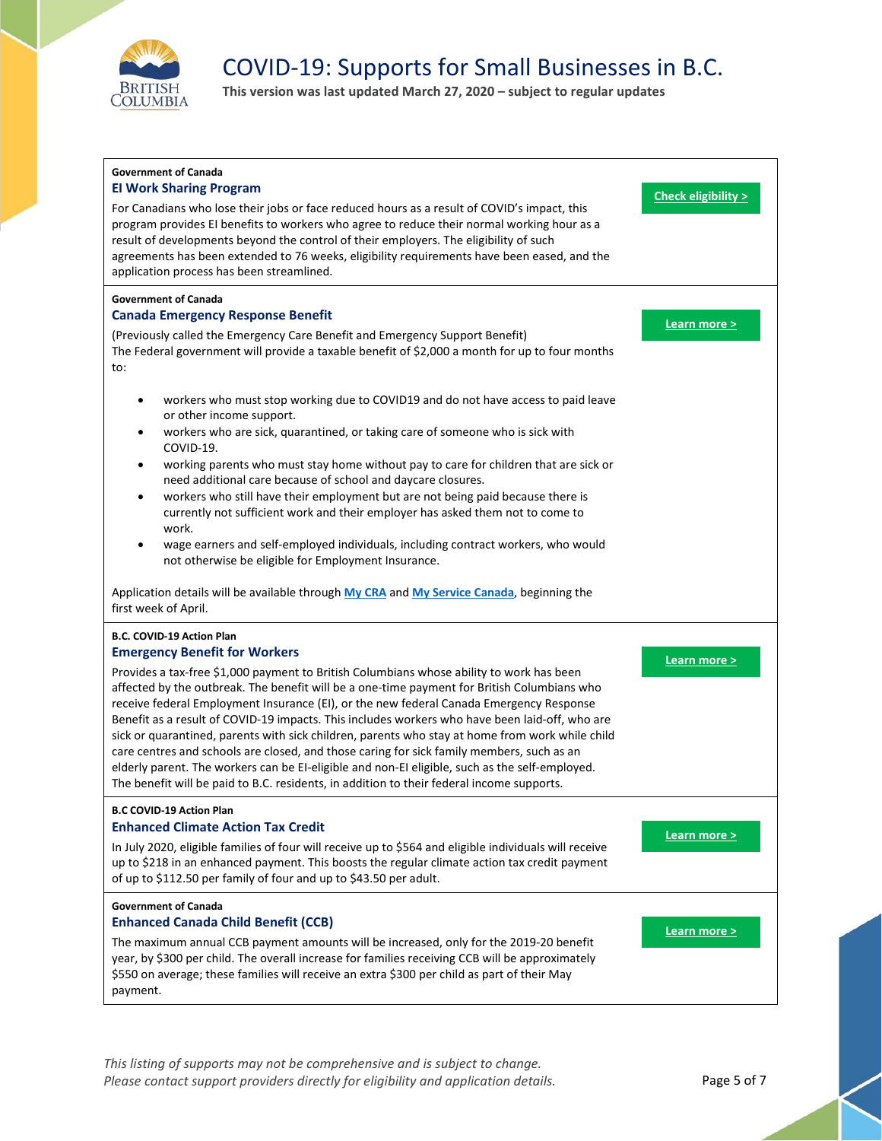

**This version was last updated March 27, 2020 – subject to regular updates**



*This listing of supports may not be comprehensive and is subject to change.*  Please contact support providers directly for eligibility and application details. Page 5 of 7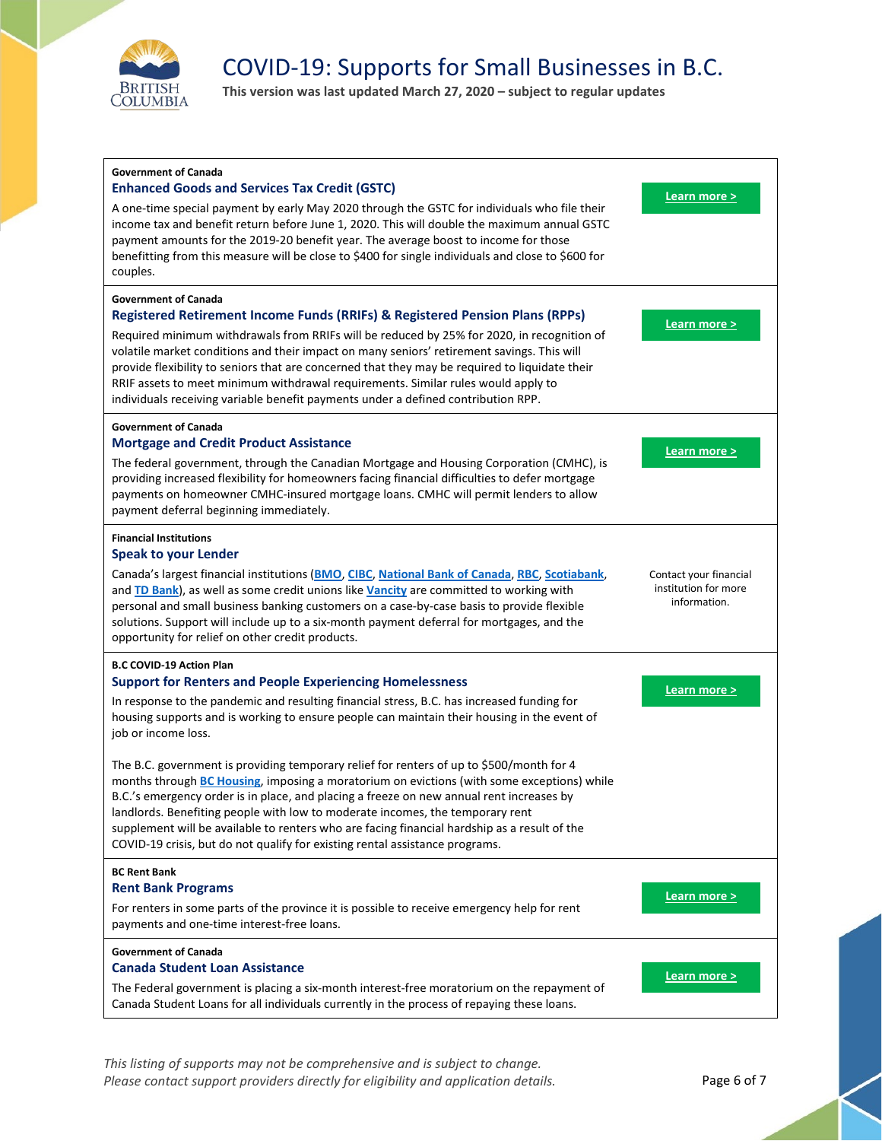

**This version was last updated March 27, 2020 – subject to regular updates**



*This listing of supports may not be comprehensive and is subject to change.*  Please contact support providers directly for eligibility and application details. Page 6 of 7